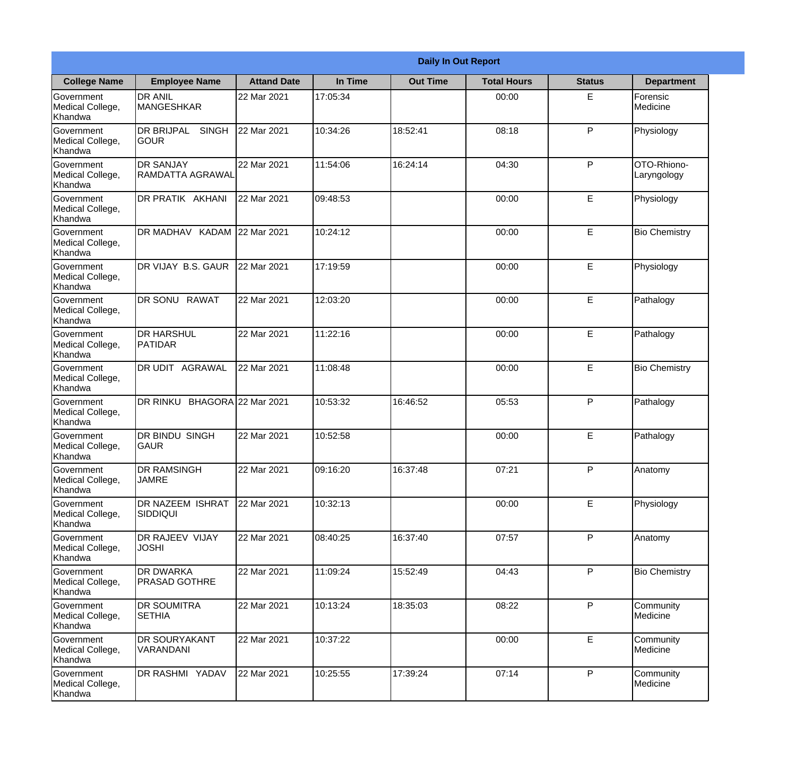|                                                  |                                            |                     |          | <b>Daily In Out Report</b> |                    |               |                            |
|--------------------------------------------------|--------------------------------------------|---------------------|----------|----------------------------|--------------------|---------------|----------------------------|
| <b>College Name</b>                              | <b>Employee Name</b>                       | <b>Attand Date</b>  | In Time  | <b>Out Time</b>            | <b>Total Hours</b> | <b>Status</b> | <b>Department</b>          |
| Government<br>Medical College,<br>Khandwa        | <b>DR ANIL</b><br><b>MANGESHKAR</b>        | 22 Mar 2021         | 17:05:34 |                            | 00:00              | E             | Forensic<br>Medicine       |
| Government<br>Medical College,<br>Khandwa        | <b>DR BRIJPAL</b><br><b>SINGH</b><br> GOUR | 22 Mar 2021         | 10:34:26 | 18:52:41                   | 08:18              | P             | Physiology                 |
| Government<br>Medical College,<br>Khandwa        | <b>IDR SANJAY</b><br>RAMDATTA AGRAWAL      | 22 Mar 2021         | 11:54:06 | 16:24:14                   | 04:30              | P             | OTO-Rhiono-<br>Laryngology |
| Government<br>Medical College,<br>Khandwa        | DR PRATIK AKHANI                           | 22 Mar 2021         | 09:48:53 |                            | 00:00              | E             | Physiology                 |
| <b>Government</b><br>Medical College,<br>Khandwa | DR MADHAV KADAM 22 Mar 2021                |                     | 10:24:12 |                            | 00:00              | E             | <b>Bio Chemistry</b>       |
| Government<br>Medical College,<br>Khandwa        | DR VIJAY B.S. GAUR                         | 22 Mar 2021         | 17:19:59 |                            | 00:00              | E             | Physiology                 |
| <b>Government</b><br>Medical College,<br>Khandwa | DR SONU RAWAT                              | 22 Mar 2021         | 12:03:20 |                            | 00:00              | E             | Pathalogy                  |
| Government<br>Medical College,<br>Khandwa        | <b>DR HARSHUL</b><br>PATIDAR               | 22 Mar 2021         | 11:22:16 |                            | 00:00              | E             | Pathalogy                  |
| Government<br>Medical College,<br>Khandwa        | <b>DR UDIT AGRAWAL</b>                     | 22 Mar 2021         | 11:08:48 |                            | 00:00              | E             | <b>Bio Chemistry</b>       |
| Government<br>Medical College,<br>Khandwa        | <b>DR RINKU</b>                            | BHAGORA 22 Mar 2021 | 10:53:32 | 16:46:52                   | 05:53              | P             | Pathalogy                  |
| Government<br>Medical College,<br>Khandwa        | <b>DR BINDU SINGH</b><br><b>GAUR</b>       | 22 Mar 2021         | 10:52:58 |                            | 00:00              | E             | Pathalogy                  |
| Government<br>Medical College,<br>Khandwa        | <b>DR RAMSINGH</b><br><b>JAMRE</b>         | 22 Mar 2021         | 09:16:20 | 16:37:48                   | 07:21              | P             | Anatomy                    |
| Government<br>Medical College,<br>Khandwa        | <b>DR NAZEEM ISHRAT</b><br>SIDDIQUI        | 22 Mar 2021         | 10:32:13 |                            | 00:00              | E             | Physiology                 |
| Government<br>Medical College,<br>Khandwa        | <b>DR RAJEEV VIJAY</b><br><b>JOSHI</b>     | 22 Mar 2021         | 08:40:25 | 16:37:40                   | 07:57              | P             | Anatomy                    |
| <b>Government</b><br>Medical College,<br>Khandwa | <b>DR DWARKA</b><br><b>PRASAD GOTHRE</b>   | 22 Mar 2021         | 11:09:24 | 15:52:49                   | 04:43              | P             | <b>Bio Chemistry</b>       |
| Government<br>Medical College,<br>Khandwa        | <b>DR SOUMITRA</b><br><b>SETHIA</b>        | 22 Mar 2021         | 10:13:24 | 18:35:03                   | 08:22              | P             | Community<br>Medicine      |
| Government<br>Medical College,<br>Khandwa        | <b>DR SOURYAKANT</b><br>VARANDANI          | 22 Mar 2021         | 10:37:22 |                            | 00:00              | E             | Community<br>Medicine      |
| Government<br>Medical College,<br>Khandwa        | <b>DR RASHMI YADAV</b>                     | 22 Mar 2021         | 10:25:55 | 17:39:24                   | 07:14              | P             | Community<br>Medicine      |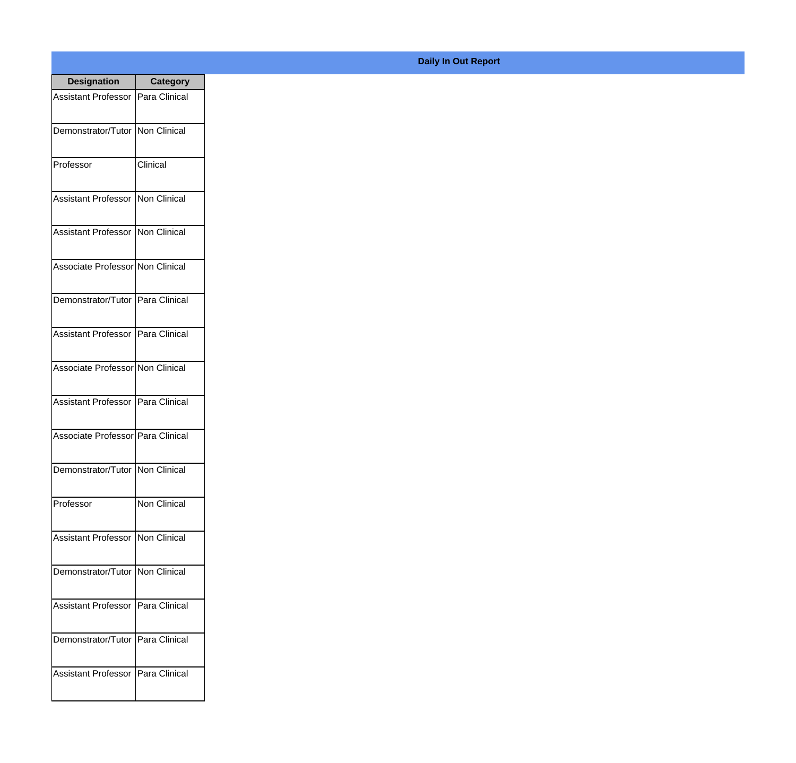| <b>Designation</b>                  | <b>Category</b>     |
|-------------------------------------|---------------------|
| Assistant Professor   Para Clinical |                     |
| Demonstrator/Tutor   Non Clinical   |                     |
| Professor                           | Clinical            |
| Assistant Professor   Non Clinical  |                     |
| Assistant Professor   Non Clinical  |                     |
| Associate Professor Non Clinical    |                     |
| Demonstrator/Tutor   Para Clinical  |                     |
| Assistant Professor   Para Clinical |                     |
| Associate Professor Non Clinical    |                     |
| Assistant Professor   Para Clinical |                     |
| Associate Professor Para Clinical   |                     |
| Demonstrator/Tutor   Non Clinical   |                     |
| Professor                           | <b>Non Clinical</b> |
| Assistant Professor   Non Clinical  |                     |
| Demonstrator/Tutor   Non Clinical   |                     |
| <b>Assistant Professor</b>          | Para Clinical       |
| Demonstrator/Tutor   Para Clinical  |                     |
| Assistant Professor   Para Clinical |                     |

## **Daily In Out Report**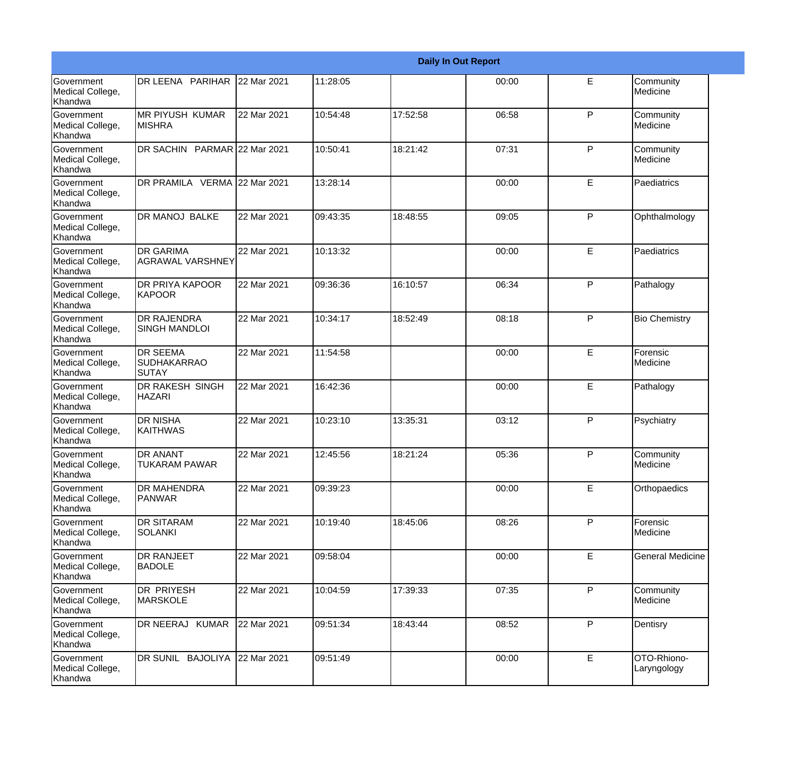|                                                  |                                                       |             |          |          | <b>Daily In Out Report</b> |              |                            |
|--------------------------------------------------|-------------------------------------------------------|-------------|----------|----------|----------------------------|--------------|----------------------------|
| Government<br>Medical College,<br>Khandwa        | DR LEENA PARIHAR                                      | 22 Mar 2021 | 11:28:05 |          | 00:00                      | E            | Community<br>Medicine      |
| <b>Government</b><br>Medical College,<br>Khandwa | <b>MR PIYUSH KUMAR</b><br><b>MISHRA</b>               | 22 Mar 2021 | 10:54:48 | 17:52:58 | 06:58                      | $\mathsf{P}$ | Community<br>Medicine      |
| <b>Government</b><br>Medical College,<br>Khandwa | DR SACHIN PARMAR 22 Mar 2021                          |             | 10:50:41 | 18:21:42 | 07:31                      | P            | Community<br>Medicine      |
| <b>Government</b><br>Medical College,<br>Khandwa | DR PRAMILA VERMA 22 Mar 2021                          |             | 13:28:14 |          | 00:00                      | E            | Paediatrics                |
| Government<br>Medical College,<br>Khandwa        | DR MANOJ BALKE                                        | 22 Mar 2021 | 09:43:35 | 18:48:55 | 09:05                      | P            | Ophthalmology              |
| <b>Government</b><br>Medical College,<br>Khandwa | <b>DR GARIMA</b><br><b>AGRAWAL VARSHNEY</b>           | 22 Mar 2021 | 10:13:32 |          | 00:00                      | E            | Paediatrics                |
| Government<br>Medical College,<br>Khandwa        | <b>DR PRIYA KAPOOR</b><br>KAPOOR                      | 22 Mar 2021 | 09:36:36 | 16:10:57 | 06:34                      | P            | Pathalogy                  |
| Government<br>Medical College,<br>Khandwa        | <b>DR RAJENDRA</b><br><b>SINGH MANDLOI</b>            | 22 Mar 2021 | 10:34:17 | 18:52:49 | 08:18                      | P            | <b>Bio Chemistry</b>       |
| Government<br>Medical College,<br>Khandwa        | <b>DR SEEMA</b><br><b>SUDHAKARRAO</b><br><b>SUTAY</b> | 22 Mar 2021 | 11:54:58 |          | 00:00                      | E            | Forensic<br>Medicine       |
| <b>Government</b><br>Medical College,<br>Khandwa | <b>DR RAKESH SINGH</b><br><b>HAZARI</b>               | 22 Mar 2021 | 16:42:36 |          | 00:00                      | E            | Pathalogy                  |
| <b>Government</b><br>Medical College,<br>Khandwa | <b>DR NISHA</b><br><b>KAITHWAS</b>                    | 22 Mar 2021 | 10:23:10 | 13:35:31 | 03:12                      | P            | Psychiatry                 |
| Government<br>Medical College,<br>Khandwa        | <b>DR ANANT</b><br><b>TUKARAM PAWAR</b>               | 22 Mar 2021 | 12:45:56 | 18:21:24 | 05:36                      | P            | Community<br>Medicine      |
| <b>Government</b><br>Medical College,<br>Khandwa | DR MAHENDRA<br>PANWAR                                 | 22 Mar 2021 | 09:39:23 |          | 00:00                      | E            | Orthopaedics               |
| Government<br>Medical College,<br>Khandwa        | <b>DR SITARAM</b><br><b>SOLANKI</b>                   | 22 Mar 2021 | 10:19:40 | 18:45:06 | 08:26                      | $\mathsf{P}$ | Forensic<br>Medicine       |
| Government<br>Medical College,<br>Khandwa        | <b>DR RANJEET</b><br><b>BADOLE</b>                    | 22 Mar 2021 | 09:58:04 |          | 00:00                      | E            | <b>General Medicine</b>    |
| Government<br>Medical College,<br>Khandwa        | <b>DR PRIYESH</b><br><b>MARSKOLE</b>                  | 22 Mar 2021 | 10:04:59 | 17:39:33 | 07:35                      | P            | Community<br>Medicine      |
| Government<br>Medical College,<br>Khandwa        | DR NEERAJ KUMAR                                       | 22 Mar 2021 | 09:51:34 | 18:43:44 | 08:52                      | P            | Dentisry                   |
| Government<br>Medical College,<br>Khandwa        | DR SUNIL BAJOLIYA                                     | 22 Mar 2021 | 09:51:49 |          | 00:00                      | E            | OTO-Rhiono-<br>Laryngology |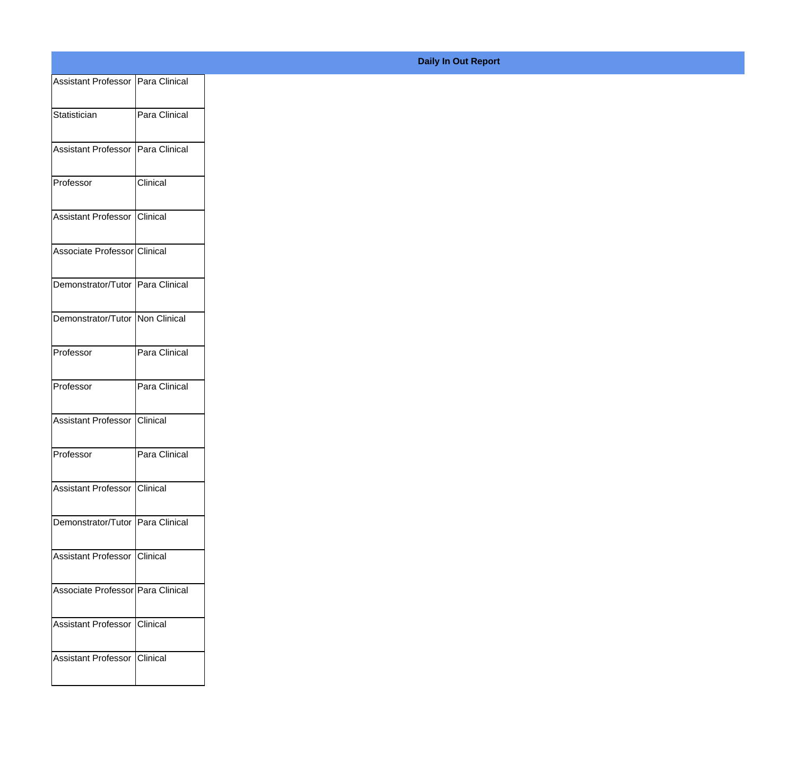| Assistant Professor   Para Clinical |               |
|-------------------------------------|---------------|
| Statistician                        | Para Clinical |
|                                     |               |
| Assistant Professor Para Clinical   |               |
| Professor                           | Clinical      |
|                                     |               |
| Assistant Professor Clinical        |               |
| Associate Professor Clinical        |               |
|                                     |               |
| Demonstrator/Tutor Para Clinical    |               |
| Demonstrator/Tutor Non Clinical     |               |
| Professor                           | Para Clinical |
|                                     |               |
| Professor                           | Para Clinical |
| Assistant Professor Clinical        |               |
|                                     |               |
| Professor                           | Para Clinical |
| Assistant Professor Clinical        |               |
| Demonstrator/Tutor Para Clinical    |               |
|                                     |               |
| Assistant Professor Clinical        |               |
| Associate Professor Para Clinical   |               |
|                                     |               |
| Assistant Professor Clinical        |               |
| Assistant Professor Clinical        |               |
|                                     |               |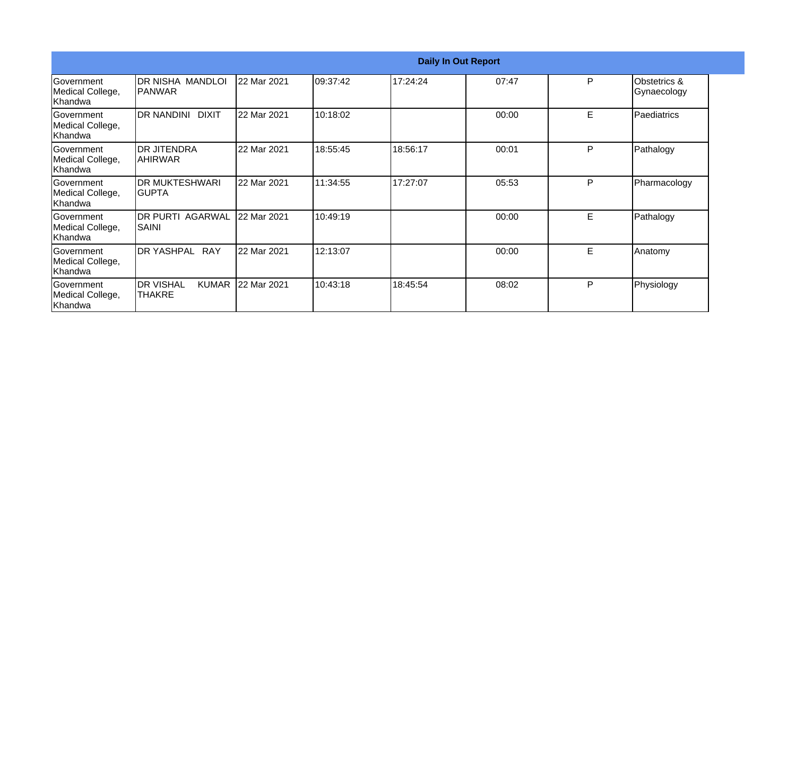|                                                   |                                                    |             |           |          | <b>Daily In Out Report</b> |   |                                        |
|---------------------------------------------------|----------------------------------------------------|-------------|-----------|----------|----------------------------|---|----------------------------------------|
| Government<br>Medical College,<br>Khandwa         | IDR NISHA MANDLOI<br><b>IPANWAR</b>                | 22 Mar 2021 | 109:37:42 | 17:24:24 | 07:47                      | P | <b>Obstetrics &amp;</b><br>Gynaecology |
| Government<br>Medical College,<br>Khandwa         | DR NANDINI DIXIT                                   | 22 Mar 2021 | 10:18:02  |          | 00:00                      | E | Paediatrics                            |
| Government<br>Medical College,<br>Khandwa         | <b>DR JITENDRA</b><br><b>AHIRWAR</b>               | 22 Mar 2021 | 18:55:45  | 18:56:17 | 00:01                      | P | Pathalogy                              |
| Government<br>Medical College,<br>Khandwa         | <b>DR MUKTESHWARI</b><br>IGUPTA                    | 22 Mar 2021 | 11:34:55  | 17:27:07 | 05:53                      | P | Pharmacology                           |
| Government<br>Medical College,<br>Khandwa         | <b>DR PURTI AGARWAL</b><br><b>SAINI</b>            | 22 Mar 2021 | 10:49:19  |          | 00:00                      | E | Pathalogy                              |
| <b>IGovernment</b><br>Medical College,<br>Khandwa | DR YASHPAL RAY                                     | 22 Mar 2021 | 12:13:07  |          | 00:00                      | E | Anatomy                                |
| Government<br>Medical College,<br>Khandwa         | <b>IDR VISHAL</b><br><b>KUMAR</b><br><b>THAKRE</b> | 22 Mar 2021 | 10:43:18  | 18:45:54 | 08:02                      | P | Physiology                             |